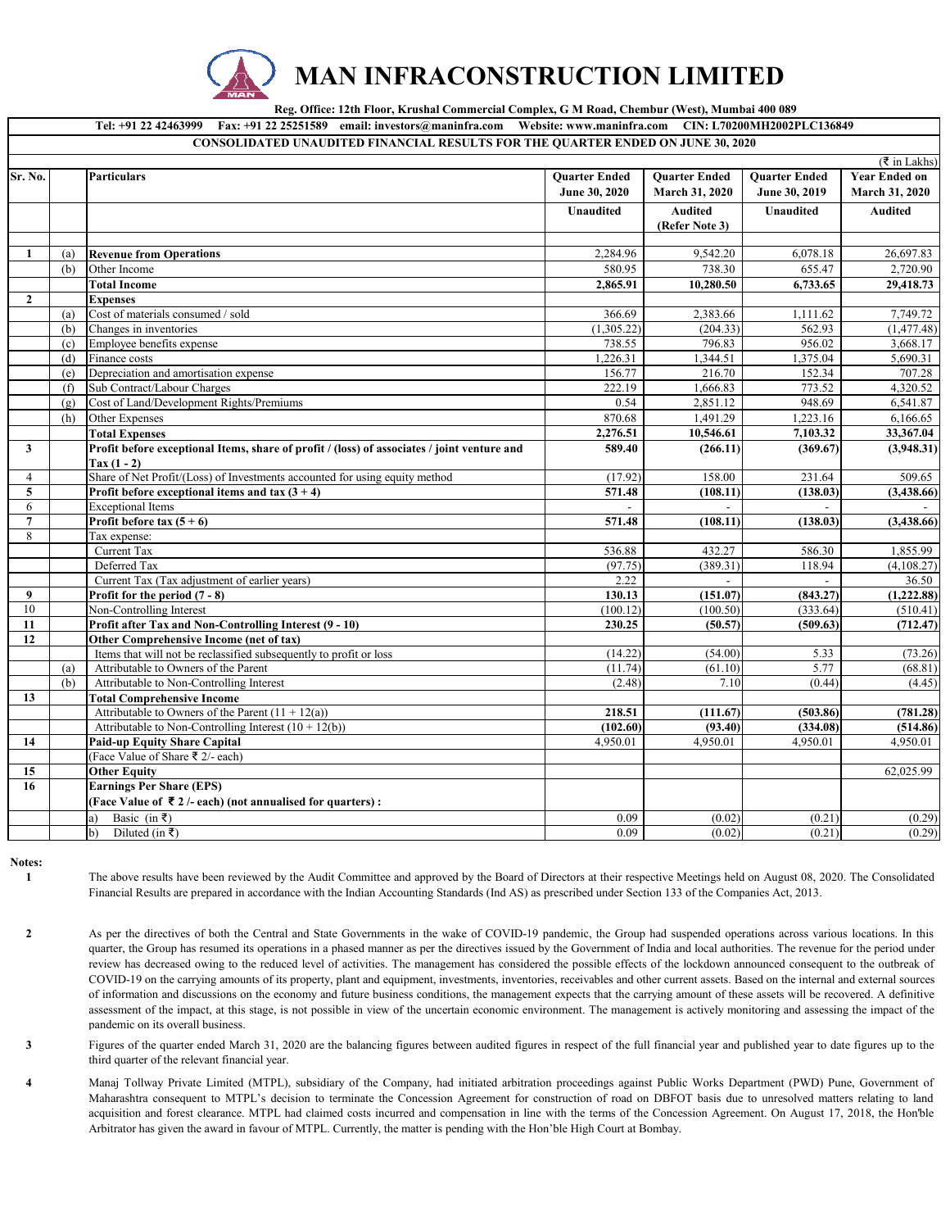

## **MAN INFRACONSTRUCTION LIMITED**

 **Reg. Office: 12th Floor, Krushal Commercial Complex, G M Road, Chembur (West), Mumbai 400 089**

|                |     | Tel: +91 22 42463999 Fax: +91 22 25251589 email: investors@maninfra.com Website: www.maninfra.com CIN: L70200MH2002PLC136849 |                      |                          |                      |                      |  |
|----------------|-----|------------------------------------------------------------------------------------------------------------------------------|----------------------|--------------------------|----------------------|----------------------|--|
|                |     | <b>CONSOLIDATED UNAUDITED FINANCIAL RESULTS FOR THE QUARTER ENDED ON JUNE 30, 2020</b>                                       |                      |                          |                      |                      |  |
|                |     |                                                                                                                              |                      |                          |                      | ( ₹ in Lakhs)        |  |
| Sr. No.        |     | <b>Particulars</b>                                                                                                           | <b>Ouarter Ended</b> | <b>Ouarter Ended</b>     | <b>Ouarter Ended</b> | <b>Year Ended on</b> |  |
|                |     |                                                                                                                              | June 30, 2020        | March 31, 2020           | June 30, 2019        | March 31, 2020       |  |
|                |     |                                                                                                                              | <b>Unaudited</b>     | <b>Audited</b>           | <b>Unaudited</b>     | <b>Audited</b>       |  |
|                |     |                                                                                                                              |                      | (Refer Note 3)           |                      |                      |  |
|                |     |                                                                                                                              |                      |                          |                      |                      |  |
| 1              | (a) | <b>Revenue from Operations</b>                                                                                               | 2,284.96             | 9,542.20                 | 6,078.18             | 26,697.83            |  |
|                | (b) | Other Income                                                                                                                 | 580.95               | 738.30                   | 655.47               | 2,720.90             |  |
|                |     | <b>Total Income</b>                                                                                                          | 2,865.91             | $\overline{10}$ , 280.50 | 6,733.65             | 29,418.73            |  |
| $\mathbf{2}$   |     | <b>Expenses</b>                                                                                                              |                      |                          |                      |                      |  |
|                | (a) | Cost of materials consumed / sold                                                                                            | 366.69               | 2,383.66                 | 1,111.62             | 7,749.72             |  |
|                | (b) | Changes in inventories                                                                                                       | (1,305.22)           | (204.33)                 | 562.93               | (1, 477.48)          |  |
|                | (c) | Employee benefits expense                                                                                                    | 738.55               | 796.83                   | 956.02               | 3,668.17             |  |
|                | (d) | Finance costs                                                                                                                | 1,226.31             | 1,344.51                 | 1,375.04             | 5,690.31             |  |
|                | (e) | Depreciation and amortisation expense                                                                                        | 156.77               | 216.70                   | 152.34               | 707.28               |  |
|                | (f) | Sub Contract/Labour Charges                                                                                                  | 222.19               | 1,666.83                 | 773.52               | 4,320.52             |  |
|                | (g) | Cost of Land/Development Rights/Premiums                                                                                     | 0.54                 | 2.851.12                 | 948.69               | 6,541.87             |  |
|                | (h) | Other Expenses                                                                                                               | 870.68               | 1,491.29                 | 1,223.16             | 6,166.65             |  |
|                |     | <b>Total Expenses</b>                                                                                                        | 2,276.51             | 10,546.61                | 7,103.32             | 33,367.04            |  |
| $\mathbf{3}$   |     | Profit before exceptional Items, share of profit / (loss) of associates / joint venture and                                  | 589.40               | (266.11)                 | (369.67)             | (3,948.31)           |  |
|                |     | $Tax(1-2)$                                                                                                                   |                      |                          |                      |                      |  |
| $\overline{4}$ |     | Share of Net Profit/(Loss) of Investments accounted for using equity method                                                  | (17.92)              | 158.00                   | 231.64               | 509.65               |  |
| 5              |     | Profit before exceptional items and tax $(3 + 4)$                                                                            | 571.48               | (108.11)                 | (138.03)             | (3,438.66)           |  |
| 6              |     | <b>Exceptional Items</b>                                                                                                     |                      |                          |                      |                      |  |
| $\overline{7}$ |     | Profit before tax $(5 + 6)$                                                                                                  | 571.48               | (108.11)                 | (138.03)             | (3, 438.66)          |  |
| 8              |     | Tax expense:                                                                                                                 |                      |                          |                      |                      |  |
|                |     | Current Tax                                                                                                                  | 536.88               | 432.27                   | 586.30               | 1,855.99             |  |
|                |     | Deferred Tax                                                                                                                 | (97.75)              | (389.31)                 | 118.94               | (4,108.27)           |  |
|                |     | Current Tax (Tax adjustment of earlier years)                                                                                | 2.22                 | $\sim$                   | $\sim$               | 36.50                |  |
| 9              |     | Profit for the period $(7 - 8)$                                                                                              | 130.13               | (151.07)                 | (843.27)             | (1, 222.88)          |  |
| 10             |     | Non-Controlling Interest                                                                                                     | (100.12)             | (100.50)                 | (333.64)             | (510.41)             |  |
| 11             |     | Profit after Tax and Non-Controlling Interest (9 - 10)                                                                       | 230.25               | (50.57)                  | (509.63)             | (712.47)             |  |
| 12             |     | Other Comprehensive Income (net of tax)                                                                                      |                      |                          |                      |                      |  |
|                |     | Items that will not be reclassified subsequently to profit or loss                                                           | (14.22)              | (54.00)                  | 5.33                 | (73.26)              |  |
|                | (a) | Attributable to Owners of the Parent                                                                                         | (11.74)              | (61.10)                  | 5.77                 | (68.81)              |  |
|                | (b) | Attributable to Non-Controlling Interest                                                                                     | (2.48)               | 7.10                     | (0.44)               | (4.45)               |  |
| 13             |     | <b>Total Comprehensive Income</b>                                                                                            |                      |                          |                      |                      |  |
|                |     | Attributable to Owners of the Parent $(11 + 12(a))$                                                                          | 218.51               | (111.67)                 | (503.86)             | (781.28)             |  |
|                |     | Attributable to Non-Controlling Interest $(10 + 12(b))$                                                                      | (102.60)             | (93.40)                  | (334.08)             | (514.86)             |  |
| 14             |     | <b>Paid-up Equity Share Capital</b>                                                                                          | 4.950.01             | 4.950.01                 | 4,950.01             | 4,950.01             |  |
|                |     | (Face Value of Share ₹ 2/- each)                                                                                             |                      |                          |                      |                      |  |
| 15             |     | <b>Other Equity</b>                                                                                                          |                      |                          |                      | 62,025.99            |  |
| 16             |     | <b>Earnings Per Share (EPS)</b>                                                                                              |                      |                          |                      |                      |  |
|                |     | (Face Value of ₹2/-each) (not annualised for quarters):                                                                      |                      |                          |                      |                      |  |
|                |     | Basic (in ₹)<br>a)                                                                                                           | 0.09                 | (0.02)                   | (0.21)               | (0.29)               |  |
|                |     | Diluted (in $\bar{z}$ )<br>$\mathbf{b}$                                                                                      | 0.09                 | (0.02)                   | (0.21)               | (0.29)               |  |
|                |     |                                                                                                                              |                      |                          |                      |                      |  |

**Notes: 1**

The above results have been reviewed by the Audit Committee and approved by the Board of Directors at their respective Meetings held on August 08, 2020. The Consolidated Financial Results are prepared in accordance with the Indian Accounting Standards (Ind AS) as prescribed under Section 133 of the Companies Act, 2013.

**2** As per the directives of both the Central and State Governments in the wake of COVID-19 pandemic, the Group had suspended operations across various locations. In this quarter, the Group has resumed its operations in a phased manner as per the directives issued by the Government of India and local authorities. The revenue for the period under review has decreased owing to the reduced level of activities. The management has considered the possible effects of the lockdown announced consequent to the outbreak of COVID-19 on the carrying amounts of its property, plant and equipment, investments, inventories, receivables and other current assets. Based on the internal and external sources of information and discussions on the economy and future business conditions, the management expects that the carrying amount of these assets will be recovered. A definitive assessment of the impact, at this stage, is not possible in view of the uncertain economic environment. The management is actively monitoring and assessing the impact of the pandemic on its overall business.

**3** Figures of the quarter ended March 31, 2020 are the balancing figures between audited figures in respect of the full financial year and published year to date figures up to the third quarter of the relevant financial year.

**4** Manaj Tollway Private Limited (MTPL), subsidiary of the Company, had initiated arbitration proceedings against Public Works Department (PWD) Pune, Government of Maharashtra consequent to MTPL's decision to terminate the Concession Agreement for construction of road on DBFOT basis due to unresolved matters relating to land acquisition and forest clearance. MTPL had claimed costs incurred and compensation in line with the terms of the Concession Agreement. On August 17, 2018, the Hon'ble Arbitrator has given the award in favour of MTPL. Currently, the matter is pending with the Hon'ble High Court at Bombay.